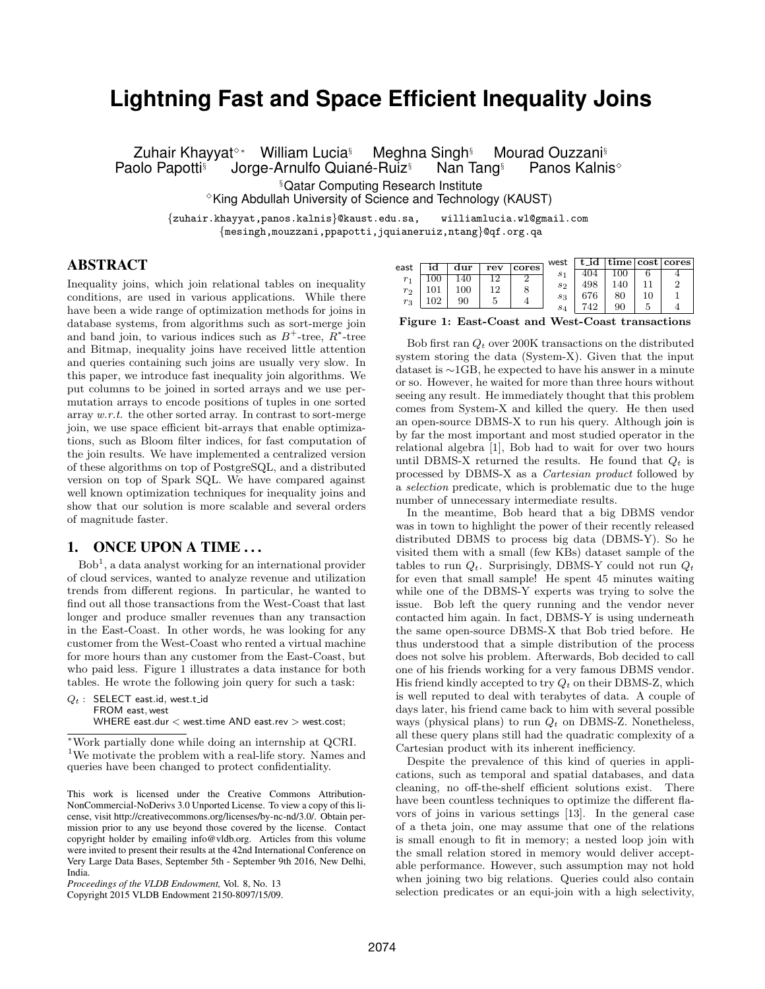# **Lightning Fast and Space Efficient Inequality Joins**

Zuhair Khayyat<sup>⊹∗</sup> William Lucia<sup>§</sup> Meghna Singh<sup>§</sup> Mourad Ouzzani<sup>§</sup> Paolo Papotti<sup>§</sup> Jorge-Arnulfo Quiané-Ruiz<sup>§</sup> Nan Tang<sup>§</sup> Panos Kalnis<sup>◇</sup>

§Qatar Computing Research Institute

✸King Abdullah University of Science and Technology (KAUST)

{zuhair.khayyat,panos.kalnis}@kaust.edu.sa, williamlucia.wl@gmail.com {mesingh,mouzzani,ppapotti,jquianeruiz,ntang}@qf.org.qa

# ABSTRACT

Inequality joins, which join relational tables on inequality conditions, are used in various applications. While there have been a wide range of optimization methods for joins in database systems, from algorithms such as sort-merge join and band join, to various indices such as  $B^+$ -tree,  $R^*$ -tree and Bitmap, inequality joins have received little attention and queries containing such joins are usually very slow. In this paper, we introduce fast inequality join algorithms. We put columns to be joined in sorted arrays and we use permutation arrays to encode positions of tuples in one sorted array  $w.r.t.$  the other sorted array. In contrast to sort-merge join, we use space efficient bit-arrays that enable optimizations, such as Bloom filter indices, for fast computation of the join results. We have implemented a centralized version of these algorithms on top of PostgreSQL, and a distributed version on top of Spark SQL. We have compared against well known optimization techniques for inequality joins and show that our solution is more scalable and several orders of magnitude faster.

## 1. ONCE UPON A TIME...

 $Bob<sup>1</sup>$ , a data analyst working for an international provider of cloud services, wanted to analyze revenue and utilization trends from different regions. In particular, he wanted to find out all those transactions from the West-Coast that last longer and produce smaller revenues than any transaction in the East-Coast. In other words, he was looking for any customer from the West-Coast who rented a virtual machine for more hours than any customer from the East-Coast, but who paid less. Figure 1 illustrates a data instance for both tables. He wrote the following join query for such a task:

 $Q_t$  : SELECT east.id, west.t\_id FROM east, west WHERE east.dur  $<$  west.time AND east.rev  $>$  west.cost;

<sup>∗</sup>Work partially done while doing an internship at QCRI. <sup>1</sup>We motivate the problem with a real-life story. Names and queries have been changed to protect confidentiality.

|       |     |     |     |            | west           | t_ıd |    | time   cost   cores |
|-------|-----|-----|-----|------------|----------------|------|----|---------------------|
| east  |     | dur | rev | cores      | S <sub>1</sub> | 404  |    |                     |
| $r_1$ | 100 | .40 | 1 ດ | $\epsilon$ |                |      |    |                     |
|       |     |     | 1 ດ |            | $s_2$          | 498  |    |                     |
| $r_2$ |     | 100 |     |            |                | 676  | 80 |                     |
| $r_3$ | 102 | 90  |     |            | $s_3$          |      |    |                     |
|       |     |     |     |            | $s_4$          | 749  | 90 |                     |

Figure 1: East-Coast and West-Coast transactions

Bob first ran  $Q_t$  over 200K transactions on the distributed system storing the data (System-X). Given that the input dataset is ∼1GB, he expected to have his answer in a minute or so. However, he waited for more than three hours without seeing any result. He immediately thought that this problem comes from System-X and killed the query. He then used an open-source DBMS-X to run his query. Although join is by far the most important and most studied operator in the relational algebra [1], Bob had to wait for over two hours until DBMS-X returned the results. He found that  $Q_t$  is processed by DBMS-X as a Cartesian product followed by a selection predicate, which is problematic due to the huge number of unnecessary intermediate results.

In the meantime, Bob heard that a big DBMS vendor was in town to highlight the power of their recently released distributed DBMS to process big data (DBMS-Y). So he visited them with a small (few KBs) dataset sample of the tables to run  $Q_t$ . Surprisingly, DBMS-Y could not run  $Q_t$ for even that small sample! He spent 45 minutes waiting while one of the DBMS-Y experts was trying to solve the issue. Bob left the query running and the vendor never contacted him again. In fact, DBMS-Y is using underneath the same open-source DBMS-X that Bob tried before. He thus understood that a simple distribution of the process does not solve his problem. Afterwards, Bob decided to call one of his friends working for a very famous DBMS vendor. His friend kindly accepted to try  $Q_t$  on their DBMS-Z, which is well reputed to deal with terabytes of data. A couple of days later, his friend came back to him with several possible ways (physical plans) to run  $Q_t$  on DBMS-Z. Nonetheless, all these query plans still had the quadratic complexity of a Cartesian product with its inherent inefficiency.

Despite the prevalence of this kind of queries in applications, such as temporal and spatial databases, and data cleaning, no off-the-shelf efficient solutions exist. There have been countless techniques to optimize the different flavors of joins in various settings [13]. In the general case of a theta join, one may assume that one of the relations is small enough to fit in memory; a nested loop join with the small relation stored in memory would deliver acceptable performance. However, such assumption may not hold when joining two big relations. Queries could also contain selection predicates or an equi-join with a high selectivity,

This work is licensed under the Creative Commons Attribution-NonCommercial-NoDerivs 3.0 Unported License. To view a copy of this license, visit http://creativecommons.org/licenses/by-nc-nd/3.0/. Obtain permission prior to any use beyond those covered by the license. Contact copyright holder by emailing info@vldb.org. Articles from this volume were invited to present their results at the 42nd International Conference on Very Large Data Bases, September 5th - September 9th 2016, New Delhi, India.

*Proceedings of the VLDB Endowment,* Vol. 8, No. 13

Copyright 2015 VLDB Endowment 2150-8097/15/09.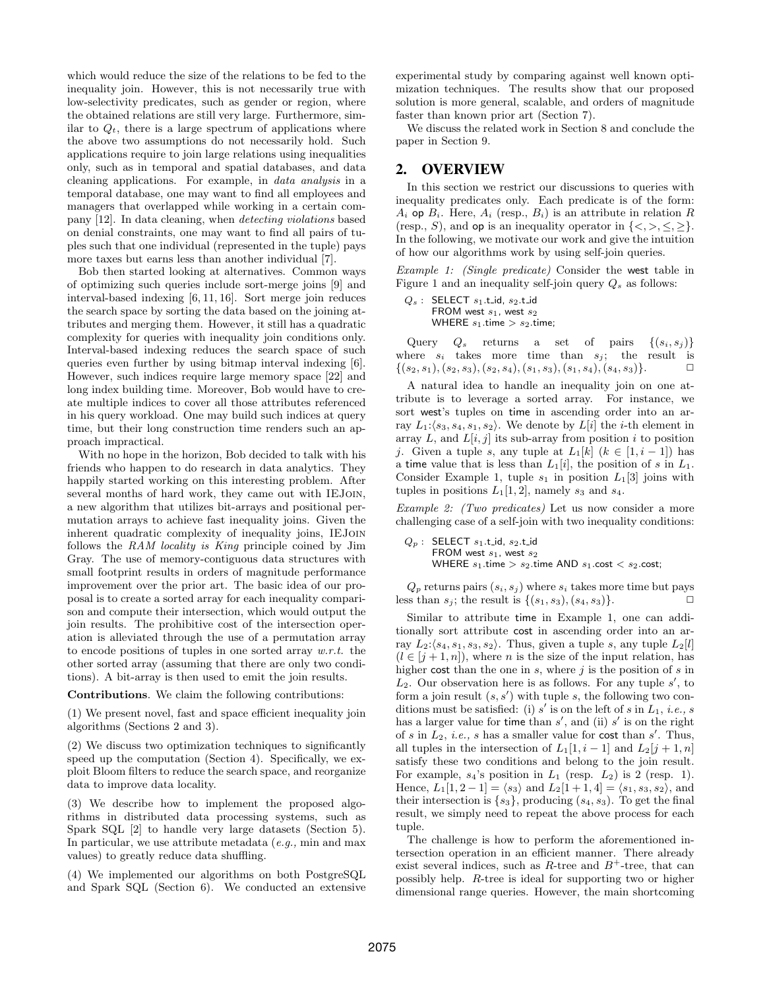which would reduce the size of the relations to be fed to the inequality join. However, this is not necessarily true with low-selectivity predicates, such as gender or region, where the obtained relations are still very large. Furthermore, similar to  $Q_t$ , there is a large spectrum of applications where the above two assumptions do not necessarily hold. Such applications require to join large relations using inequalities only, such as in temporal and spatial databases, and data cleaning applications. For example, in data analysis in a temporal database, one may want to find all employees and managers that overlapped while working in a certain company [12]. In data cleaning, when detecting violations based on denial constraints, one may want to find all pairs of tuples such that one individual (represented in the tuple) pays more taxes but earns less than another individual [7].

Bob then started looking at alternatives. Common ways of optimizing such queries include sort-merge joins [9] and interval-based indexing [6, 11, 16]. Sort merge join reduces the search space by sorting the data based on the joining attributes and merging them. However, it still has a quadratic complexity for queries with inequality join conditions only. Interval-based indexing reduces the search space of such queries even further by using bitmap interval indexing [6]. However, such indices require large memory space [22] and long index building time. Moreover, Bob would have to create multiple indices to cover all those attributes referenced in his query workload. One may build such indices at query time, but their long construction time renders such an approach impractical.

With no hope in the horizon, Bob decided to talk with his friends who happen to do research in data analytics. They happily started working on this interesting problem. After several months of hard work, they came out with IEJoin, a new algorithm that utilizes bit-arrays and positional permutation arrays to achieve fast inequality joins. Given the inherent quadratic complexity of inequality joins, IEJoin follows the RAM locality is King principle coined by Jim Gray. The use of memory-contiguous data structures with small footprint results in orders of magnitude performance improvement over the prior art. The basic idea of our proposal is to create a sorted array for each inequality comparison and compute their intersection, which would output the join results. The prohibitive cost of the intersection operation is alleviated through the use of a permutation array to encode positions of tuples in one sorted array w.r.t. the other sorted array (assuming that there are only two conditions). A bit-array is then used to emit the join results.

Contributions. We claim the following contributions:

(1) We present novel, fast and space efficient inequality join algorithms (Sections 2 and 3).

(2) We discuss two optimization techniques to significantly speed up the computation (Section 4). Specifically, we exploit Bloom filters to reduce the search space, and reorganize data to improve data locality.

(3) We describe how to implement the proposed algorithms in distributed data processing systems, such as Spark SQL [2] to handle very large datasets (Section 5). In particular, we use attribute metadata  $(e.g., \text{ min and max})$ values) to greatly reduce data shuffling.

(4) We implemented our algorithms on both PostgreSQL and Spark SQL (Section 6). We conducted an extensive experimental study by comparing against well known optimization techniques. The results show that our proposed solution is more general, scalable, and orders of magnitude faster than known prior art (Section 7).

We discuss the related work in Section 8 and conclude the paper in Section 9.

#### 2. OVERVIEW

In this section we restrict our discussions to queries with inequality predicates only. Each predicate is of the form:  $A_i$  op  $B_i$ . Here,  $A_i$  (resp.,  $B_i$ ) is an attribute in relation R (resp., S), and op is an inequality operator in  $\{<,>,\leq,\geq\}$ . In the following, we motivate our work and give the intuition of how our algorithms work by using self-join queries.

Example 1: (Single predicate) Consider the west table in Figure 1 and an inequality self-join query  $Q_s$  as follows:

 $Q_s$  : SELECT  $s_1$ .t\_id,  $s_2$ .t\_id FROM west  $s_1$ , west  $s_2$ WHERE  $s_1$  time  $>s_2$  time;

Query  $Q_s$  returns a set of pairs  $\{(s_i, s_j)\}\$ where  $s_i$  takes more time than  $s_j$ ; the result is  $\{(s_2,s_1), (s_2,s_3), (s_2,s_4), (s_1,s_3), (s_1,s_4), (s_4,s_3)\}.$ 

A natural idea to handle an inequality join on one attribute is to leverage a sorted array. For instance, we sort west's tuples on time in ascending order into an array  $L_1$ : $\langle s_3, s_4, s_1, s_2 \rangle$ . We denote by  $L[i]$  the *i*-th element in array L, and  $L[i, j]$  its sub-array from position i to position j. Given a tuple s, any tuple at  $L_1[k]$   $(k \in [1, i-1])$  has a time value that is less than  $L_1[i]$ , the position of s in  $L_1$ . Consider Example 1, tuple  $s_1$  in position  $L_1[3]$  joins with tuples in positions  $L_1[1,2]$ , namely  $s_3$  and  $s_4$ .

Example 2: (Two predicates) Let us now consider a more challenging case of a self-join with two inequality conditions:

 $Q_p$  : SELECT  $s_1$ .t\_id,  $s_2$ .t\_id FROM west  $s_1$ , west  $s_2$ WHERE  $s_1$  time  $>s_2$  time AND  $s_1$  cost  $s_2$  cost;

 $Q_p$  returns pairs  $(s_i, s_j)$  where  $s_i$  takes more time but pays less than  $s_i$ ; the result is  $\{(s_1, s_3), (s_4, s_3)\}.$ 

Similar to attribute time in Example 1, one can additionally sort attribute cost in ascending order into an array  $L_2$ : $\langle s_4, s_1, s_3, s_2 \rangle$ . Thus, given a tuple s, any tuple  $L_2[l]$  $(l \in [j+1, n])$ , where *n* is the size of the input relation, has higher cost than the one in  $s$ , where  $j$  is the position of  $s$  in  $L_2$ . Our observation here is as follows. For any tuple  $s'$ , to form a join result  $(s, s')$  with tuple s, the following two conditions must be satisfied: (i)  $s'$  is on the left of s in  $L_1$ , *i.e.*, s has a larger value for time than  $s'$ , and (ii)  $s'$  is on the right of s in  $L_2$ , *i.e.*, s has a smaller value for cost than s'. Thus, all tuples in the intersection of  $L_1[1, i-1]$  and  $L_2[j+1, n]$ satisfy these two conditions and belong to the join result. For example,  $s_4$ 's position in  $L_1$  (resp.  $L_2$ ) is 2 (resp. 1). Hence,  $L_1[1, 2 - 1] = \langle s_3 \rangle$  and  $L_2[1 + 1, 4] = \langle s_1, s_3, s_2 \rangle$ , and their intersection is  $\{s_3\}$ , producing  $(s_4, s_3)$ . To get the final result, we simply need to repeat the above process for each tuple.

The challenge is how to perform the aforementioned intersection operation in an efficient manner. There already exist several indices, such as  $R$ -tree and  $B^+$ -tree, that can possibly help. R-tree is ideal for supporting two or higher dimensional range queries. However, the main shortcoming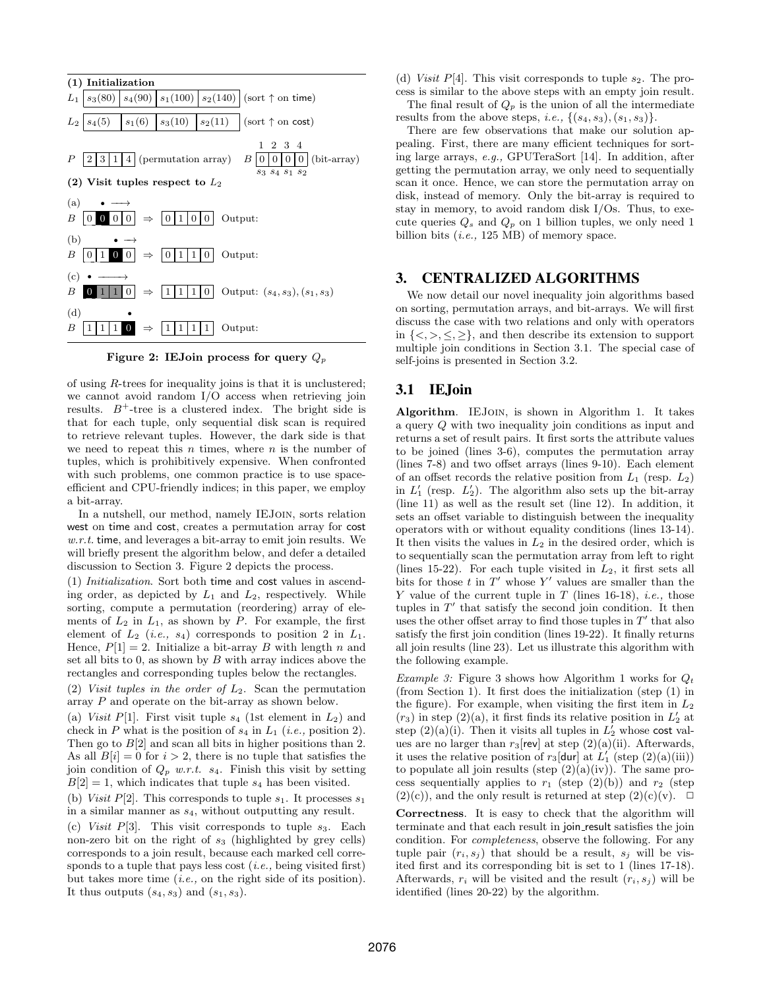

Figure 2: IEJoin process for query  $Q_p$ 

of using R-trees for inequality joins is that it is unclustered; we cannot avoid random I/O access when retrieving join results.  $B^+$ -tree is a clustered index. The bright side is that for each tuple, only sequential disk scan is required to retrieve relevant tuples. However, the dark side is that we need to repeat this  $n$  times, where  $n$  is the number of tuples, which is prohibitively expensive. When confronted with such problems, one common practice is to use spaceefficient and CPU-friendly indices; in this paper, we employ a bit-array.

In a nutshell, our method, namely IEJoin, sorts relation west on time and cost, creates a permutation array for cost  $w.r.t.$  time, and leverages a bit-array to emit join results. We will briefly present the algorithm below, and defer a detailed discussion to Section 3. Figure 2 depicts the process.

(1) Initialization. Sort both time and cost values in ascending order, as depicted by  $L_1$  and  $L_2$ , respectively. While sorting, compute a permutation (reordering) array of elements of  $L_2$  in  $L_1$ , as shown by P. For example, the first element of  $L_2$  (*i.e.*,  $s_4$ ) corresponds to position 2 in  $L_1$ . Hence,  $P[1] = 2$ . Initialize a bit-array B with length n and set all bits to  $0$ , as shown by  $B$  with array indices above the rectangles and corresponding tuples below the rectangles.

(2) Visit tuples in the order of  $L_2$ . Scan the permutation array P and operate on the bit-array as shown below.

(a) Visit P[1]. First visit tuple  $s_4$  (1st element in  $L_2$ ) and check in P what is the position of  $s_4$  in  $L_1$  (*i.e.*, position 2). Then go to  $B[2]$  and scan all bits in higher positions than 2. As all  $B[i] = 0$  for  $i > 2$ , there is no tuple that satisfies the join condition of  $Q_p$  w.r.t.  $s_4$ . Finish this visit by setting  $B[2] = 1$ , which indicates that tuple  $s_4$  has been visited.

(b) Visit P[2]. This corresponds to tuple  $s_1$ . It processes  $s_1$ in a similar manner as  $s_4$ , without outputting any result.

(c) Visit P[3]. This visit corresponds to tuple  $s_3$ . Each non-zero bit on the right of  $s_3$  (highlighted by grey cells) corresponds to a join result, because each marked cell corresponds to a tuple that pays less cost  $(i.e.,$  being visited first) but takes more time (i.e., on the right side of its position). It thus outputs  $(s_4, s_3)$  and  $(s_1, s_3)$ .

(d) Visit P[4]. This visit corresponds to tuple  $s_2$ . The process is similar to the above steps with an empty join result. The final result of  $Q_p$  is the union of all the intermediate results from the above steps, *i.e.*,  $\{(s_4, s_3), (s_1, s_3)\}.$ 

There are few observations that make our solution appealing. First, there are many efficient techniques for sorting large arrays, e.g., GPUTeraSort [14]. In addition, after getting the permutation array, we only need to sequentially scan it once. Hence, we can store the permutation array on disk, instead of memory. Only the bit-array is required to stay in memory, to avoid random disk I/Os. Thus, to execute queries  $Q_s$  and  $Q_p$  on 1 billion tuples, we only need 1 billion bits (i.e., 125 MB) of memory space.

## 3. CENTRALIZED ALGORITHMS

We now detail our novel inequality join algorithms based on sorting, permutation arrays, and bit-arrays. We will first discuss the case with two relations and only with operators in  $\{<,>,\leq,\geq\}$ , and then describe its extension to support multiple join conditions in Section 3.1. The special case of self-joins is presented in Section 3.2.

## 3.1 IEJoin

Algorithm. IEJOIN, is shown in Algorithm 1. It takes a query Q with two inequality join conditions as input and returns a set of result pairs. It first sorts the attribute values to be joined (lines 3-6), computes the permutation array (lines 7-8) and two offset arrays (lines 9-10). Each element of an offset records the relative position from  $L_1$  (resp.  $L_2$ ) in  $L'_1$  (resp.  $L'_2$ ). The algorithm also sets up the bit-array (line 11) as well as the result set (line 12). In addition, it sets an offset variable to distinguish between the inequality operators with or without equality conditions (lines 13-14). It then visits the values in  $L_2$  in the desired order, which is to sequentially scan the permutation array from left to right (lines 15-22). For each tuple visited in  $L_2$ , it first sets all bits for those  $t$  in  $T'$  whose  $Y'$  values are smaller than the Y value of the current tuple in T (lines 16-18), *i.e.*, those tuples in  $T'$  that satisfy the second join condition. It then uses the other offset array to find those tuples in  $T'$  that also satisfy the first join condition (lines 19-22). It finally returns all join results (line 23). Let us illustrate this algorithm with the following example.

Example 3: Figure 3 shows how Algorithm 1 works for  $Q_t$ (from Section 1). It first does the initialization (step (1) in the figure). For example, when visiting the first item in  $L_2$  $(r_3)$  in step (2)(a), it first finds its relative position in  $L'_2$  at step  $(2)(a)(i)$ . Then it visits all tuples in  $L_2^{\prime}$  whose cost values are no larger than  $r_3$ [rev] at step  $(2)(a)(ii)$ . Afterwards, it uses the relative position of  $r_3$ [dur] at  $L'_1$  (step (2)(a)(iii)) to populate all join results (step  $(2)(a)(iv)$ ). The same process sequentially applies to  $r_1$  (step (2)(b)) and  $r_2$  (step  $(2)(c)$ , and the only result is returned at step  $(2)(c)(v)$ .  $\Box$ 

Correctness. It is easy to check that the algorithm will terminate and that each result in join result satisfies the join condition. For completeness, observe the following. For any tuple pair  $(r_i, s_j)$  that should be a result,  $s_j$  will be visited first and its corresponding bit is set to 1 (lines 17-18). Afterwards,  $r_i$  will be visited and the result  $(r_i, s_j)$  will be identified (lines 20-22) by the algorithm.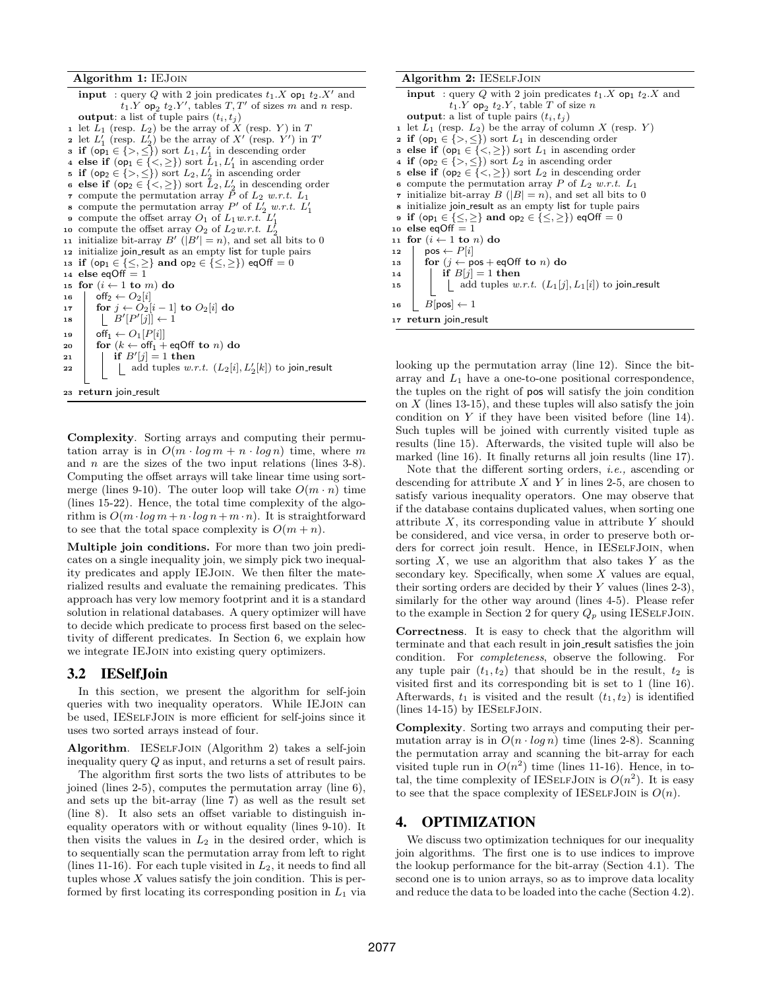Algorithm 1: IEJoin

**input** : query Q with 2 join predicates  $t_1.X$  op<sub>1</sub>  $t_2.X'$  and  $t_1.Y$  op<sub>2</sub>  $t_2.Y'$ , tables  $T,T'$  of sizes m and n resp. **output**: a list of tuple pairs  $(t_i, t_j)$ 1 let  $L_1$  (resp.  $L_2$ ) be the array of X (resp. Y) in T 2 let  $L'_1$  (resp.  $L'_2$ ) be the array of X' (resp. Y') in T' 3 if  $(\textsf{op}_1 \in \{>, \leq\})$  sort  $L_1, L'_1$  in descending order<br>4 else if  $(\textsf{op}_1 \in \{<,\geq\})$  sort  $L_1, L'_1$  in ascending order 5 if  $(op_2 \in \{>, \leq\})$  sort  $L_2, L'_2$  in ascending order **6 else if**  $(\text{op}_2 \in \{<,\geq\})$  sort  $\tilde{L}_2, L_2'$  in descending order 7 compute the permutation array P of  $L_2$  w.r.t.  $L_1$ s compute the permutation array P' of  $L'_2$  w.r.t.  $L'_1$ **9** compute the offset array  $O_1$  of  $L_1 w.r.t. L_1'$ 10 compute the offset array  $O_2$  of  $L_2w.r.t.$  L 10 compute the onset array  $B'$  ( $|B'| = n$ ), and set all bits to 0 <sup>12</sup> initialize join result as an empty list for tuple pairs 13 if  $(op_1 \in \{\leq,\geq\}$  and  $op_2 \in \{\leq,\geq\}$ ) eqOff = 0 14 else eqOff  $=$  1 15 for  $(i\leftarrow 1$  to  $m)$  do 16  $\qquad$  off<sub>2</sub>  $\leftarrow$   $O_2[i]$ 17  $\left| \text{ for } j \leftarrow O_2[i-1] \text{ to } O_2[i] \text{ do}$ 18  $\left| \right| \left| B'(P'[j]) \right| \leftarrow 1$ 19  $\qquad \qquad$  off $_1 \leftarrow O_1[P[i]]$ 20  $\int$  for  $(k \leftarrow \text{off}_1 + \text{eqOff}$  to n) do 21 | if  $B'[j] = 1$  then 22  $\Box$  add tuples w.r.t.  $(L_2[i], L'_2[k])$  to join\_result <sup>23</sup> return join result

Complexity. Sorting arrays and computing their permutation array is in  $O(m \cdot \log m + n \cdot \log n)$  time, where m and  $n$  are the sizes of the two input relations (lines 3-8). Computing the offset arrays will take linear time using sortmerge (lines 9-10). The outer loop will take  $O(m \cdot n)$  time (lines 15-22). Hence, the total time complexity of the algorithm is  $O(m \cdot \log m + n \cdot \log n + m \cdot n)$ . It is straightforward to see that the total space complexity is  $O(m + n)$ .

Multiple join conditions. For more than two join predicates on a single inequality join, we simply pick two inequality predicates and apply IEJoin. We then filter the materialized results and evaluate the remaining predicates. This approach has very low memory footprint and it is a standard solution in relational databases. A query optimizer will have to decide which predicate to process first based on the selectivity of different predicates. In Section 6, we explain how we integrate IEJoin into existing query optimizers.

## 3.2 IESelfJoin

In this section, we present the algorithm for self-join queries with two inequality operators. While IEJoin can be used, IESELFJOIN is more efficient for self-joins since it uses two sorted arrays instead of four.

Algorithm. IESELFJOIN (Algorithm 2) takes a self-join inequality query Q as input, and returns a set of result pairs.

The algorithm first sorts the two lists of attributes to be joined (lines 2-5), computes the permutation array (line 6), and sets up the bit-array (line 7) as well as the result set (line 8). It also sets an offset variable to distinguish inequality operators with or without equality (lines 9-10). It then visits the values in  $L_2$  in the desired order, which is to sequentially scan the permutation array from left to right (lines 11-16). For each tuple visited in  $L_2$ , it needs to find all tuples whose  $X$  values satisfy the join condition. This is performed by first locating its corresponding position in  $L_1$  via

#### Algorithm 2: IESELFJOIN **input** : query Q with 2 join predicates  $t_1.X$  op<sub>1</sub>  $t_2.X$  and  $t_1.Y$  op<sub>2</sub>  $t_2.Y$ , table T of size n output: a list of tuple pairs  $(t_i, t_j)$ 1 let  $L_1$  (resp.  $L_2$ ) be the array of column X (resp. Y) 2 if  $(op_1 \in \{>, \leq\})$  sort  $L_1$  in descending order 3 else if  $(op_1 \in \{<,\geq\})$  sort  $L_1$  in ascending order 4 if  $(op_2 \in \{>, \leq\})$  sort  $L_2$  in ascending order 5 else if  $(op_2 \in \{<,\geq\})$  sort  $L_2$  in descending order 6 compute the permutation array P of  $L_2$  w.r.t.  $L_1$ 7 initialize bit-array  $B(|B|=n)$ , and set all bits to 0 <sup>8</sup> initialize join result as an empty list for tuple pairs  ${\mathfrak s}$  if  $({\mathsf{op}}_1\in\{\leq,\geq\}$  and  ${\mathsf{op}}_2\in\{\leq,\geq\})$  eqOff  $=0$ 10 else eq $Off = 1$ 11 for  $(i \leftarrow 1$  to n) do 12  $\mid \text{pos} \leftarrow P[i]$ 13 for  $(j \leftarrow pos + eqOff$  to n) do 14 | if  $B[j] = 1$  then 15 | | add tuples  $w.r.t.$   $(L_1[j], L_1[i])$  to join\_result 16  $B[pos] \leftarrow 1$ 17 return join\_result

looking up the permutation array (line 12). Since the bitarray and  $L_1$  have a one-to-one positional correspondence, the tuples on the right of pos will satisfy the join condition on  $X$  (lines 13-15), and these tuples will also satisfy the join condition on  $Y$  if they have been visited before (line 14). Such tuples will be joined with currently visited tuple as results (line 15). Afterwards, the visited tuple will also be marked (line 16). It finally returns all join results (line 17).

Note that the different sorting orders, i.e., ascending or descending for attribute  $X$  and  $Y$  in lines 2-5, are chosen to satisfy various inequality operators. One may observe that if the database contains duplicated values, when sorting one attribute  $X$ , its corresponding value in attribute  $Y$  should be considered, and vice versa, in order to preserve both orders for correct join result. Hence, in IESELFJOIN, when sorting  $X$ , we use an algorithm that also takes  $Y$  as the secondary key. Specifically, when some X values are equal, their sorting orders are decided by their  $Y$  values (lines 2-3), similarly for the other way around (lines 4-5). Please refer to the example in Section 2 for query  $Q_p$  using IESELFJOIN.

Correctness. It is easy to check that the algorithm will terminate and that each result in join result satisfies the join condition. For completeness, observe the following. For any tuple pair  $(t_1, t_2)$  that should be in the result,  $t_2$  is visited first and its corresponding bit is set to 1 (line 16). Afterwards,  $t_1$  is visited and the result  $(t_1, t_2)$  is identified (lines 14-15) by IESELFJOIN.

Complexity. Sorting two arrays and computing their permutation array is in  $O(n \cdot \log n)$  time (lines 2-8). Scanning the permutation array and scanning the bit-array for each visited tuple run in  $O(n^2)$  time (lines 11-16). Hence, in total, the time complexity of IESELFJOIN is  $O(n^2)$ . It is easy to see that the space complexity of IESELFJOIN is  $O(n)$ .

# 4. OPTIMIZATION

We discuss two optimization techniques for our inequality join algorithms. The first one is to use indices to improve the lookup performance for the bit-array (Section 4.1). The second one is to union arrays, so as to improve data locality and reduce the data to be loaded into the cache (Section 4.2).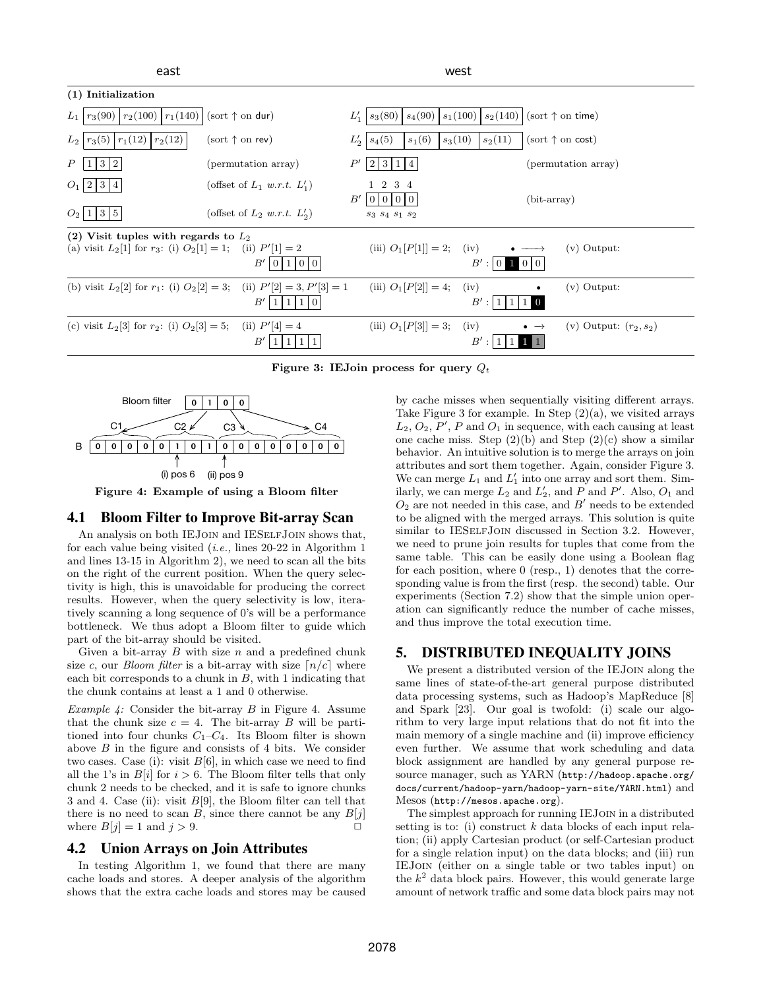| east                                                                                                         |                                                                                            | west                                                                |                                                             |  |
|--------------------------------------------------------------------------------------------------------------|--------------------------------------------------------------------------------------------|---------------------------------------------------------------------|-------------------------------------------------------------|--|
| (1) Initialization                                                                                           |                                                                                            |                                                                     |                                                             |  |
| $r_3(90)   r_2(100)   r_1(140)$<br>$L_1$                                                                     | (sort $\uparrow$ on dur)                                                                   | $s_1(100)$<br>$s_3(80)$<br>$s_4(90)$<br>$L'_1$                      | $ s_2(140) $ (sort $\uparrow$ on time)                      |  |
| $r_3(5)$<br>$r_1(12)$<br>$r_2(12)$<br>$L_2$                                                                  | $(sort \uparrow on rev)$                                                                   | $L_2'$<br>$s_4(5)$<br>$s_1(6)$<br>$s_3(10)$                         | $s_2(11)$<br>$(sort \uparrow on cost)$                      |  |
| Р<br> 3 2<br>1                                                                                               | (permutation array)                                                                        | $P^{\prime}$<br>$\boldsymbol{2}$<br>3 1<br>$\overline{14}$          | (permutation array)                                         |  |
| $O_1$  2 3 4                                                                                                 | (offset of $L_1$ w.r.t. $L'_1$ )                                                           | 1 2 3 4<br>B'<br>$\overline{0}$<br>000                              | $(bit-array)$                                               |  |
| $O_2$  1 3 5                                                                                                 | (offset of $L_2$ w.r.t. $L'_2$ )                                                           | $\mathfrak{s}_3$ $\mathfrak{s}_4$ $\mathfrak{s}_1$ $\mathfrak{s}_2$ |                                                             |  |
| (2) Visit tuples with regards to $L_2$<br>(a) visit $L_2[1]$ for $r_3$ : (i) $O_2[1] = 1$ ; (ii) $P'[1] = 2$ | B'<br>$1010$                                                                               | (iii) $O_1[P[1]] = 2;$                                              | (iv)<br>$(v)$ Output:<br>$B':$ 0<br>100                     |  |
|                                                                                                              | (b) visit $L_2[2]$ for $r_1$ : (i) $O_2[2] = 3$ ; (ii) $P'[2] = 3, P'[3] = 1$<br>B'<br>I O | (iii) $O_1[P[2]] = 4;$<br>(iv)                                      | $(v)$ Output:<br>B'<br>$\cdot$ :                            |  |
| (c) visit $L_2[3]$ for $r_2$ : (i) $O_2[3] = 5$ ; (ii) $P'[4] = 4$                                           | $B^{\prime}$                                                                               | (iii) $O_1[P[3]] = 3;$<br>(iv)                                      | (v) Output: $(r_2, s_2)$<br>$\bullet \rightarrow$<br>$B'$ : |  |

Figure 3: IEJoin process for query  $Q_t$ 



Figure 4: Example of using a Bloom filter

## 4.1 Bloom Filter to Improve Bit-array Scan

An analysis on both IEJOIN and IESELFJOIN shows that, for each value being visited (i.e., lines 20-22 in Algorithm 1 and lines 13-15 in Algorithm 2), we need to scan all the bits on the right of the current position. When the query selectivity is high, this is unavoidable for producing the correct results. However, when the query selectivity is low, iteratively scanning a long sequence of 0's will be a performance bottleneck. We thus adopt a Bloom filter to guide which part of the bit-array should be visited.

Given a bit-array  $B$  with size  $n$  and a predefined chunk size c, our *Bloom filter* is a bit-array with size  $\lceil n/c \rceil$  where each bit corresponds to a chunk in  $B$ , with 1 indicating that the chunk contains at least a 1 and 0 otherwise.

*Example 4:* Consider the bit-array  $B$  in Figure 4. Assume that the chunk size  $c = 4$ . The bit-array B will be partitioned into four chunks  $C_1-C_4$ . Its Bloom filter is shown above  $B$  in the figure and consists of 4 bits. We consider two cases. Case (i): visit  $B[6]$ , in which case we need to find all the 1's in  $B[i]$  for  $i > 6$ . The Bloom filter tells that only chunk 2 needs to be checked, and it is safe to ignore chunks 3 and 4. Case (ii): visit  $B[9]$ , the Bloom filter can tell that there is no need to scan B, since there cannot be any  $B[i]$ where  $B[i] = 1$  and  $j > 9$ .

## 4.2 Union Arrays on Join Attributes

In testing Algorithm 1, we found that there are many cache loads and stores. A deeper analysis of the algorithm shows that the extra cache loads and stores may be caused

by cache misses when sequentially visiting different arrays. Take Figure 3 for example. In Step  $(2)(a)$ , we visited arrays  $L_2, O_2, P', P$  and  $O_1$  in sequence, with each causing at least one cache miss. Step  $(2)(b)$  and Step  $(2)(c)$  show a similar behavior. An intuitive solution is to merge the arrays on join attributes and sort them together. Again, consider Figure 3. We can merge  $L_1$  and  $L'_1$  into one array and sort them. Similarly, we can merge  $L_2$  and  $L'_2$ , and P and P'. Also,  $O_1$  and  $O_2$  are not needed in this case, and  $B'$  needs to be extended to be aligned with the merged arrays. This solution is quite similar to IESELFJOIN discussed in Section 3.2. However, we need to prune join results for tuples that come from the same table. This can be easily done using a Boolean flag for each position, where 0 (resp., 1) denotes that the corresponding value is from the first (resp. the second) table. Our experiments (Section 7.2) show that the simple union operation can significantly reduce the number of cache misses, and thus improve the total execution time.

# 5. DISTRIBUTED INEQUALITY JOINS

We present a distributed version of the IEJOIN along the same lines of state-of-the-art general purpose distributed data processing systems, such as Hadoop's MapReduce [8] and Spark [23]. Our goal is twofold: (i) scale our algorithm to very large input relations that do not fit into the main memory of a single machine and (ii) improve efficiency even further. We assume that work scheduling and data block assignment are handled by any general purpose resource manager, such as YARN (http://hadoop.apache.org/ docs/current/hadoop-yarn/hadoop-yarn-site/YARN.html) and Mesos (http://mesos.apache.org).

The simplest approach for running IEJoin in a distributed setting is to: (i) construct  $k$  data blocks of each input relation; (ii) apply Cartesian product (or self-Cartesian product for a single relation input) on the data blocks; and (iii) run IEJoin (either on a single table or two tables input) on the  $k^2$  data block pairs. However, this would generate large amount of network traffic and some data block pairs may not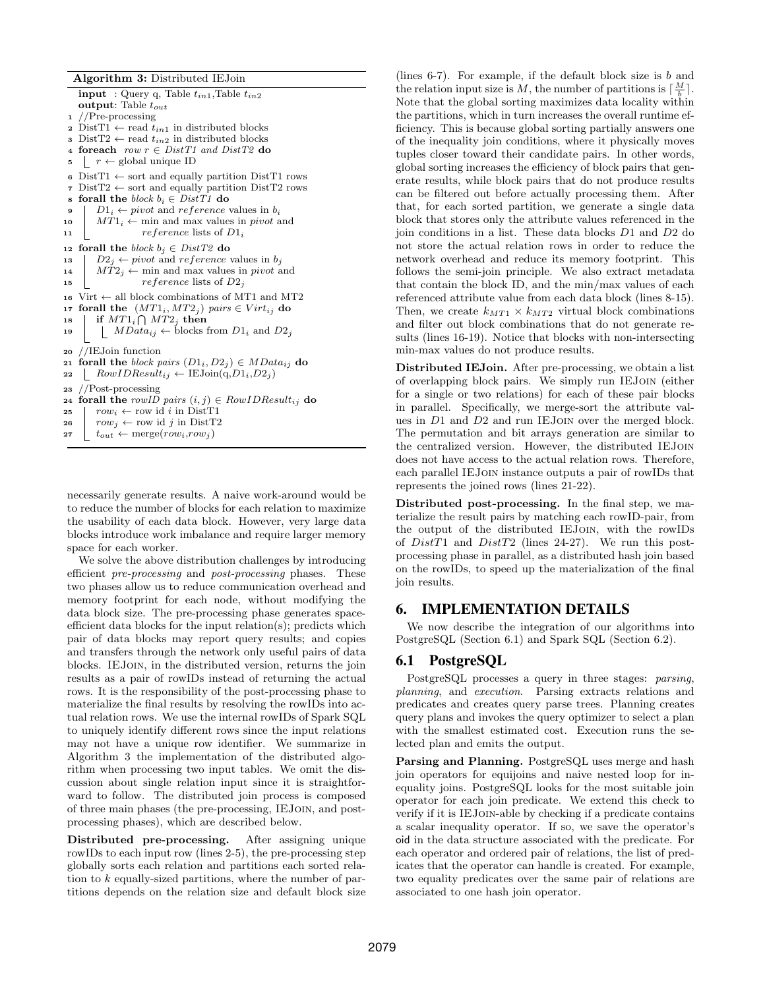Algorithm 3: Distributed IEJoin input : Query q, Table  $t_{in1}$ , Table  $t_{in2}$ output: Table  $t_{out}$ //Pre-processing 2 Dist $T_1 \leftarrow$  read  $t_{in1}$  in distributed blocks 3 Dist $T2 \leftarrow$  read  $t_{in2}$  in distributed blocks 4 foreach row  $r \in DistT1$  and  $DistT2$  do 5  $r \leftarrow$  global unique ID 6 Dist $T1 \leftarrow$  sort and equally partition Dist $T1$  rows 7 DistT2  $\leftarrow$  sort and equally partition DistT2 rows 8 **forall the** block  $b_i \in DistT1$  **do**<br>9 |  $D1_i \leftarrow pivot$  and reference  $D1_i \leftarrow pivot$  and reference values in  $b_i$ 10  $MT1_i \leftarrow$  min and max values in *pivot* and 11  $\qquad$  reference lists of  $D1_i$ 12 forall the block  $b_j \in DistT2$  do 13  $D_2$  ← pivot and reference values in  $b_j$ 14  $MT2_i \leftarrow$  min and max values in *pivot* and 15  $reference$  lists of  $D2_j$ 16 Virt  $\leftarrow$  all block combinations of MT1 and MT2 17 forall the  $(MT1_i, MT2_j)$  pairs  $\in Virt_{ij}$  do 18 | if  $MT1_i \bigcap MT2_j$  then 19 |  $MData_{ij} \leftarrow \text{blocks from } D1_i \text{ and } D2_j$ <sup>20</sup> //IEJoin function 21 forall the block pairs  $(D1_i, D2_j) \in MData_{ij}$  do 22  $\Box$   $RowIDResult_{ij} \leftarrow \text{IEJoin}(q, D1_i, D2_j)$ <sup>23</sup> //Post-processing 24 forall the rowID pairs  $(i, j) \in RowIDResult_{ij}$  do 25  $\vert row_i \leftarrow row \text{ id } i \text{ in } DistT1$ 26  $\vert row_j \leftarrow row \text{ id } j \text{ in DistT2}$ 27  $t_{out} \leftarrow \text{merge}(row_i, row_j)$ 

necessarily generate results. A naive work-around would be to reduce the number of blocks for each relation to maximize the usability of each data block. However, very large data blocks introduce work imbalance and require larger memory space for each worker.

We solve the above distribution challenges by introducing efficient pre-processing and post-processing phases. These two phases allow us to reduce communication overhead and memory footprint for each node, without modifying the data block size. The pre-processing phase generates spaceefficient data blocks for the input relation(s); predicts which pair of data blocks may report query results; and copies and transfers through the network only useful pairs of data blocks. IEJoin, in the distributed version, returns the join results as a pair of rowIDs instead of returning the actual rows. It is the responsibility of the post-processing phase to materialize the final results by resolving the rowIDs into actual relation rows. We use the internal rowIDs of Spark SQL to uniquely identify different rows since the input relations may not have a unique row identifier. We summarize in Algorithm 3 the implementation of the distributed algorithm when processing two input tables. We omit the discussion about single relation input since it is straightforward to follow. The distributed join process is composed of three main phases (the pre-processing, IEJoin, and postprocessing phases), which are described below.

Distributed pre-processing. After assigning unique rowIDs to each input row (lines 2-5), the pre-processing step globally sorts each relation and partitions each sorted relation to k equally-sized partitions, where the number of partitions depends on the relation size and default block size

(lines  $6-7$ ). For example, if the default block size is b and the relation input size is M, the number of partitions is  $\lceil \frac{M}{b} \rceil$ . Note that the global sorting maximizes data locality within the partitions, which in turn increases the overall runtime efficiency. This is because global sorting partially answers one of the inequality join conditions, where it physically moves tuples closer toward their candidate pairs. In other words, global sorting increases the efficiency of block pairs that generate results, while block pairs that do not produce results can be filtered out before actually processing them. After that, for each sorted partition, we generate a single data block that stores only the attribute values referenced in the join conditions in a list. These data blocks D1 and D2 do not store the actual relation rows in order to reduce the network overhead and reduce its memory footprint. This follows the semi-join principle. We also extract metadata that contain the block ID, and the min/max values of each referenced attribute value from each data block (lines 8-15). Then, we create  $k_{MT1} \times k_{MT2}$  virtual block combinations and filter out block combinations that do not generate results (lines 16-19). Notice that blocks with non-intersecting min-max values do not produce results.

Distributed IEJoin. After pre-processing, we obtain a list of overlapping block pairs. We simply run IEJoin (either for a single or two relations) for each of these pair blocks in parallel. Specifically, we merge-sort the attribute values in D1 and D2 and run IEJoin over the merged block. The permutation and bit arrays generation are similar to the centralized version. However, the distributed IEJoin does not have access to the actual relation rows. Therefore, each parallel IEJoin instance outputs a pair of rowIDs that represents the joined rows (lines 21-22).

Distributed post-processing. In the final step, we materialize the result pairs by matching each rowID-pair, from the output of the distributed IEJoin, with the rowIDs of DistT1 and DistT2 (lines 24-27). We run this postprocessing phase in parallel, as a distributed hash join based on the rowIDs, to speed up the materialization of the final join results.

# 6. IMPLEMENTATION DETAILS

We now describe the integration of our algorithms into PostgreSQL (Section 6.1) and Spark SQL (Section 6.2).

## 6.1 PostgreSQL

PostgreSQL processes a query in three stages: parsing, planning, and execution. Parsing extracts relations and predicates and creates query parse trees. Planning creates query plans and invokes the query optimizer to select a plan with the smallest estimated cost. Execution runs the selected plan and emits the output.

Parsing and Planning. PostgreSQL uses merge and hash join operators for equijoins and naive nested loop for inequality joins. PostgreSQL looks for the most suitable join operator for each join predicate. We extend this check to verify if it is IEJoin-able by checking if a predicate contains a scalar inequality operator. If so, we save the operator's oid in the data structure associated with the predicate. For each operator and ordered pair of relations, the list of predicates that the operator can handle is created. For example, two equality predicates over the same pair of relations are associated to one hash join operator.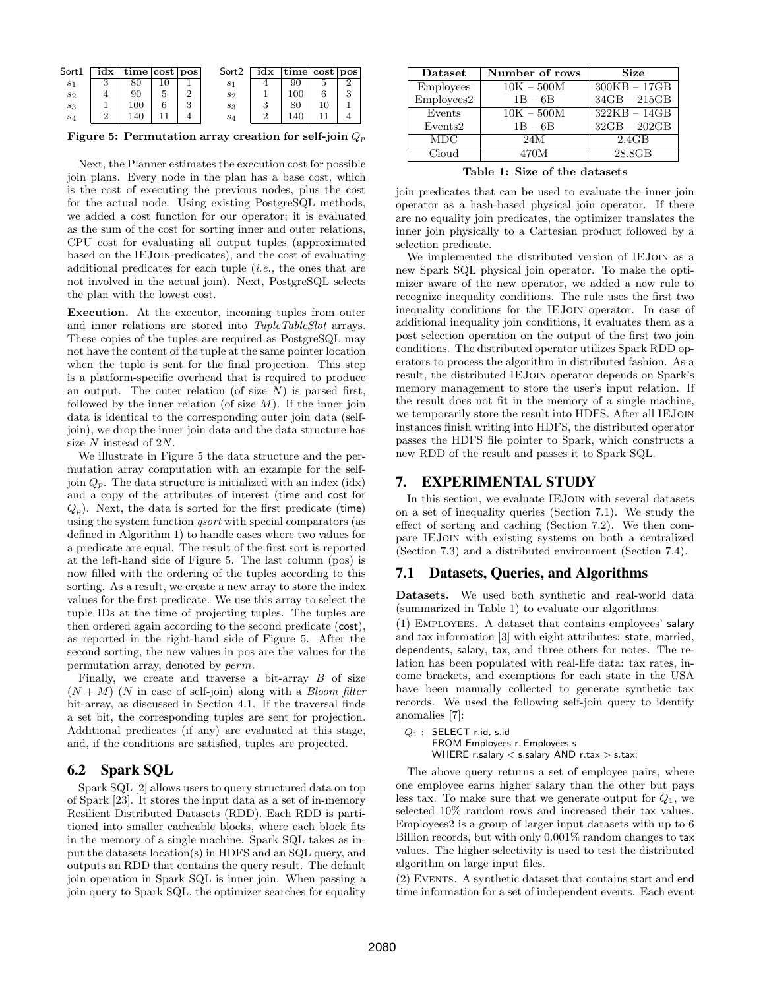| Sort1          | idx | time   cost   pos |        | Sort <sub>2</sub> | idx | $\vert$ time $\vert \cos \vert$ pos |    |  |
|----------------|-----|-------------------|--------|-------------------|-----|-------------------------------------|----|--|
| $s_1$          | ω   | 80                |        | s <sub>1</sub>    |     | 90                                  |    |  |
| s <sub>2</sub> |     | 90                |        | s <sub>2</sub>    |     | 10C                                 |    |  |
| $s_3$          |     | 100               | 2<br>Ω | $s_3$             |     | 80                                  | 10 |  |
| $s_4$          |     | 40                |        | $s_4$             |     |                                     |    |  |

Figure 5: Permutation array creation for self-join  $Q_p$ 

Next, the Planner estimates the execution cost for possible join plans. Every node in the plan has a base cost, which is the cost of executing the previous nodes, plus the cost for the actual node. Using existing PostgreSQL methods, we added a cost function for our operator; it is evaluated as the sum of the cost for sorting inner and outer relations, CPU cost for evaluating all output tuples (approximated based on the IEJoin-predicates), and the cost of evaluating additional predicates for each tuple  $(i.e.,$  the ones that are not involved in the actual join). Next, PostgreSQL selects the plan with the lowest cost.

Execution. At the executor, incoming tuples from outer and inner relations are stored into *TupleTableSlot* arrays. These copies of the tuples are required as PostgreSQL may not have the content of the tuple at the same pointer location when the tuple is sent for the final projection. This step is a platform-specific overhead that is required to produce an output. The outer relation (of size  $N$ ) is parsed first, followed by the inner relation (of size  $M$ ). If the inner join data is identical to the corresponding outer join data (selfjoin), we drop the inner join data and the data structure has size N instead of 2N.

We illustrate in Figure 5 the data structure and the permutation array computation with an example for the selfjoin  $Q_p$ . The data structure is initialized with an index (idx) and a copy of the attributes of interest (time and cost for  $Q_p$ ). Next, the data is sorted for the first predicate (time) using the system function *qsort* with special comparators (as defined in Algorithm 1) to handle cases where two values for a predicate are equal. The result of the first sort is reported at the left-hand side of Figure 5. The last column (pos) is now filled with the ordering of the tuples according to this sorting. As a result, we create a new array to store the index values for the first predicate. We use this array to select the tuple IDs at the time of projecting tuples. The tuples are then ordered again according to the second predicate (cost), as reported in the right-hand side of Figure 5. After the second sorting, the new values in pos are the values for the permutation array, denoted by perm.

Finally, we create and traverse a bit-array  $B$  of size  $(N + M)$  (N in case of self-join) along with a *Bloom filter* bit-array, as discussed in Section 4.1. If the traversal finds a set bit, the corresponding tuples are sent for projection. Additional predicates (if any) are evaluated at this stage, and, if the conditions are satisfied, tuples are projected.

# 6.2 Spark SQL

Spark SQL [2] allows users to query structured data on top of Spark [23]. It stores the input data as a set of in-memory Resilient Distributed Datasets (RDD). Each RDD is partitioned into smaller cacheable blocks, where each block fits in the memory of a single machine. Spark SQL takes as input the datasets location(s) in HDFS and an SQL query, and outputs an RDD that contains the query result. The default join operation in Spark SQL is inner join. When passing a join query to Spark SQL, the optimizer searches for equality

| Dataset          | Number of rows | Size           |
|------------------|----------------|----------------|
| <b>Employees</b> | $10K - 500M$   | $300KB - 17GB$ |
| Employees2       | $1B - 6B$      | $34GB - 215GB$ |
| Events           | $10K - 500M$   | $322KB - 14GB$ |
| Events2          | $1B - 6B$      | $32GB - 202GB$ |
| <b>MDC</b>       | 24M            | 2.4GB          |
| Cloud            | 470M           | 28.8GB         |

Table 1: Size of the datasets

join predicates that can be used to evaluate the inner join operator as a hash-based physical join operator. If there are no equality join predicates, the optimizer translates the inner join physically to a Cartesian product followed by a selection predicate.

We implemented the distributed version of IEJoin as a new Spark SQL physical join operator. To make the optimizer aware of the new operator, we added a new rule to recognize inequality conditions. The rule uses the first two inequality conditions for the IEJoin operator. In case of additional inequality join conditions, it evaluates them as a post selection operation on the output of the first two join conditions. The distributed operator utilizes Spark RDD operators to process the algorithm in distributed fashion. As a result, the distributed IEJoin operator depends on Spark's memory management to store the user's input relation. If the result does not fit in the memory of a single machine, we temporarily store the result into HDFS. After all IEJoin instances finish writing into HDFS, the distributed operator passes the HDFS file pointer to Spark, which constructs a new RDD of the result and passes it to Spark SQL.

# 7. EXPERIMENTAL STUDY

In this section, we evaluate IEJoin with several datasets on a set of inequality queries (Section 7.1). We study the effect of sorting and caching (Section 7.2). We then compare IEJoin with existing systems on both a centralized (Section 7.3) and a distributed environment (Section 7.4).

# 7.1 Datasets, Queries, and Algorithms

Datasets. We used both synthetic and real-world data (summarized in Table 1) to evaluate our algorithms.

(1) Employees. A dataset that contains employees' salary and tax information [3] with eight attributes: state, married, dependents, salary, tax, and three others for notes. The relation has been populated with real-life data: tax rates, income brackets, and exemptions for each state in the USA have been manually collected to generate synthetic tax records. We used the following self-join query to identify anomalies [7]:

 $Q_1$  : SELECT r.id, s.id FROM Employees r, Employees s WHERE r.salary < s.salary AND r.tax > s.tax;

The above query returns a set of employee pairs, where one employee earns higher salary than the other but pays less tax. To make sure that we generate output for  $Q_1$ , we selected 10% random rows and increased their tax values. Employees2 is a group of larger input datasets with up to 6 Billion records, but with only 0.001% random changes to tax values. The higher selectivity is used to test the distributed algorithm on large input files.

(2) Events. A synthetic dataset that contains start and end time information for a set of independent events. Each event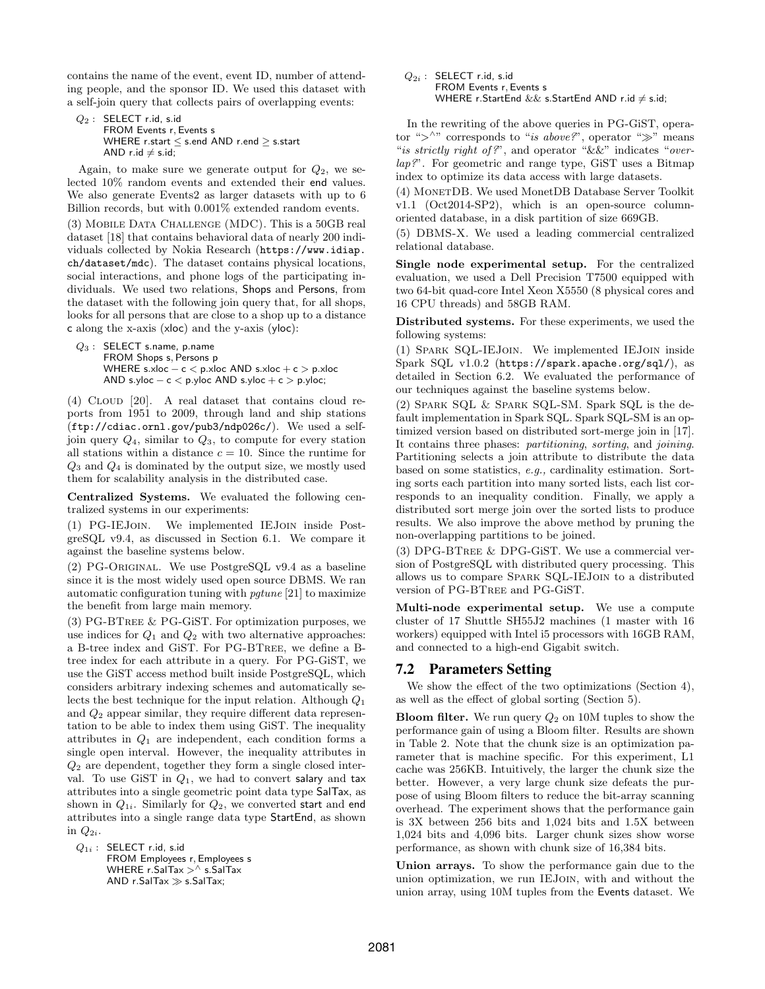contains the name of the event, event ID, number of attending people, and the sponsor ID. We used this dataset with a self-join query that collects pairs of overlapping events:

```
Q_2 : SELECT r.id, s.id
     FROM Events r, Events s
    WHERE r.start ≤ s.end AND r.end ≥ s.start
    AND r.id \neq s.id;
```
Again, to make sure we generate output for  $Q_2$ , we selected 10% random events and extended their end values. We also generate Events2 as larger datasets with up to 6 Billion records, but with 0.001% extended random events. (3) Mobile Data Challenge (MDC). This is a 50GB real dataset [18] that contains behavioral data of nearly 200 individuals collected by Nokia Research (https://www.idiap. ch/dataset/mdc). The dataset contains physical locations, social interactions, and phone logs of the participating individuals. We used two relations, Shops and Persons, from the dataset with the following join query that, for all shops, looks for all persons that are close to a shop up to a distance

```
c along the x-axis (xloc) and the y-axis (yloc):
Q_3 : SELECT s.name, p.name
      FROM Shops s, Persons p
      WHERE s.xloc − c < p.xloc AND s.xloc + c > p.xloc
      AND s.yloc - c < p.yloc AND s.yloc + c > p.yloc;
```
(4) Cloud [20]. A real dataset that contains cloud reports from 1951 to 2009, through land and ship stations (ftp://cdiac.ornl.gov/pub3/ndp026c/). We used a selfjoin query  $Q_4$ , similar to  $Q_3$ , to compute for every station all stations within a distance  $c = 10$ . Since the runtime for  $Q_3$  and  $Q_4$  is dominated by the output size, we mostly used them for scalability analysis in the distributed case.

Centralized Systems. We evaluated the following centralized systems in our experiments:

(1) PG-IEJoin. We implemented IEJoin inside PostgreSQL v9.4, as discussed in Section 6.1. We compare it against the baseline systems below.

(2) PG-Original. We use PostgreSQL v9.4 as a baseline since it is the most widely used open source DBMS. We ran automatic configuration tuning with pgtune [21] to maximize the benefit from large main memory.

(3) PG-BTree & PG-GiST. For optimization purposes, we use indices for  $Q_1$  and  $Q_2$  with two alternative approaches: a B-tree index and GiST. For PG-BTree, we define a Btree index for each attribute in a query. For PG-GiST, we use the GiST access method built inside PostgreSQL, which considers arbitrary indexing schemes and automatically selects the best technique for the input relation. Although  $Q_1$ and Q<sup>2</sup> appear similar, they require different data representation to be able to index them using GiST. The inequality attributes in  $Q_1$  are independent, each condition forms a single open interval. However, the inequality attributes in  $Q_2$  are dependent, together they form a single closed interval. To use GiST in  $Q_1$ , we had to convert salary and tax attributes into a single geometric point data type SalTax, as shown in  $Q_{1i}$ . Similarly for  $Q_2$ , we converted start and end attributes into a single range data type StartEnd, as shown in  $Q_{2i}$ .

 $Q_{1i}$  : SELECT r.id, s.id FROM Employees r, Employees s WHERE  $r.Sa$ ITax  $>^{\wedge}$  s.SaITax  $AND r.SaITax \gg s.SaITax;$ 

 $Q_{2i}$  : SELECT r.id, s.id FROM Events r, Events s WHERE r.StartEnd && s.StartEnd AND r.id  $\neq$  s.id;

In the rewriting of the above queries in PG-GiST, operator "> $\wedge$ " corresponds to "is above?", operator ">" means "is strictly right of?", and operator "&&" indicates "overlap?". For geometric and range type, GiST uses a Bitmap index to optimize its data access with large datasets.

(4) MonetDB. We used MonetDB Database Server Toolkit v1.1 (Oct2014-SP2), which is an open-source columnoriented database, in a disk partition of size 669GB.

(5) DBMS-X. We used a leading commercial centralized relational database.

Single node experimental setup. For the centralized evaluation, we used a Dell Precision T7500 equipped with two 64-bit quad-core Intel Xeon X5550 (8 physical cores and 16 CPU threads) and 58GB RAM.

Distributed systems. For these experiments, we used the following systems:

(1) Spark SQL-IEJoin. We implemented IEJoin inside Spark SQL v1.0.2 (https://spark.apache.org/sql/), as detailed in Section 6.2. We evaluated the performance of our techniques against the baseline systems below.

(2) Spark SQL & Spark SQL-SM. Spark SQL is the default implementation in Spark SQL. Spark SQL-SM is an optimized version based on distributed sort-merge join in [17]. It contains three phases: partitioning, sorting, and joining. Partitioning selects a join attribute to distribute the data based on some statistics, e.g., cardinality estimation. Sorting sorts each partition into many sorted lists, each list corresponds to an inequality condition. Finally, we apply a distributed sort merge join over the sorted lists to produce results. We also improve the above method by pruning the non-overlapping partitions to be joined.

(3) DPG-BTree & DPG-GiST. We use a commercial version of PostgreSQL with distributed query processing. This allows us to compare Spark SQL-IEJoin to a distributed version of PG-BTree and PG-GiST.

Multi-node experimental setup. We use a compute cluster of 17 Shuttle SH55J2 machines (1 master with 16 workers) equipped with Intel i5 processors with 16GB RAM, and connected to a high-end Gigabit switch.

# 7.2 Parameters Setting

We show the effect of the two optimizations (Section 4), as well as the effect of global sorting (Section 5).

**Bloom filter.** We run query  $Q_2$  on 10M tuples to show the performance gain of using a Bloom filter. Results are shown in Table 2. Note that the chunk size is an optimization parameter that is machine specific. For this experiment, L1 cache was 256KB. Intuitively, the larger the chunk size the better. However, a very large chunk size defeats the purpose of using Bloom filters to reduce the bit-array scanning overhead. The experiment shows that the performance gain is 3X between 256 bits and 1,024 bits and 1.5X between 1,024 bits and 4,096 bits. Larger chunk sizes show worse performance, as shown with chunk size of 16,384 bits.

Union arrays. To show the performance gain due to the union optimization, we run IEJoin, with and without the union array, using 10M tuples from the Events dataset. We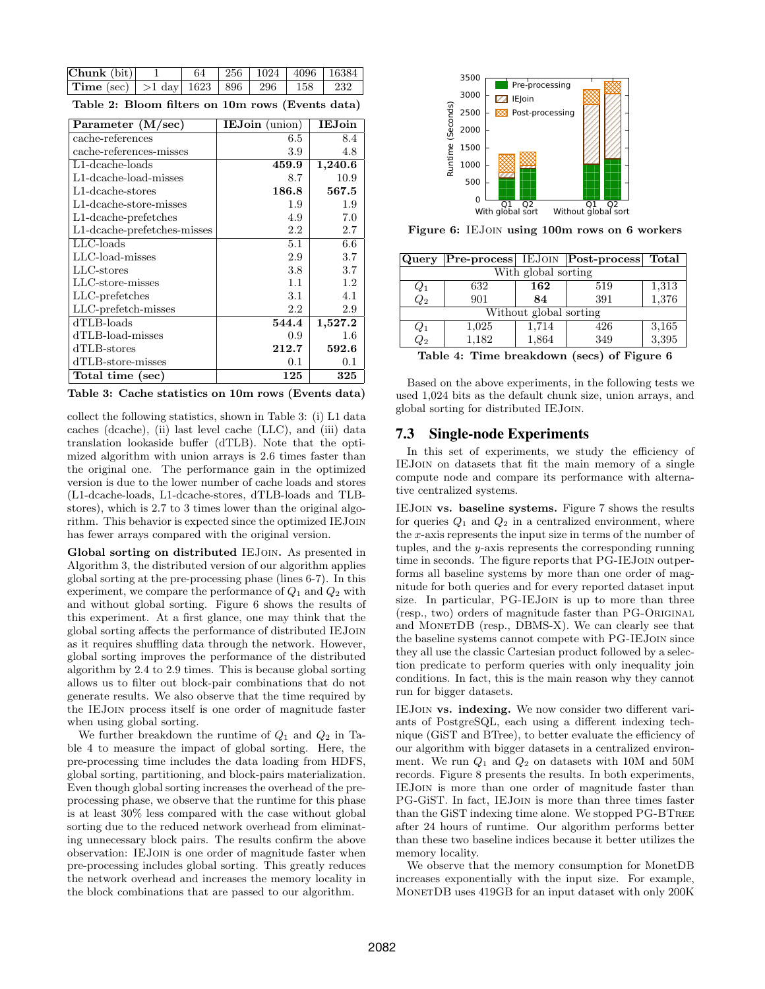| $[Chunk(bit)]$ 1                                         |  | $64$   256   1024   4096   16384 |  |
|----------------------------------------------------------|--|----------------------------------|--|
| <b>Time</b> (sec)   >1 day  1623   896   296   158   232 |  |                                  |  |

| Table 2: Bloom filters on 10m rows (Events data) |  |  |  |  |  |  |  |  |
|--------------------------------------------------|--|--|--|--|--|--|--|--|
|--------------------------------------------------|--|--|--|--|--|--|--|--|

| Parameter $(M/sec)$            | <b>IEJoin</b> (union) | <b>IEJoin</b> |
|--------------------------------|-----------------------|---------------|
| cache-references               | 6.5                   | 8.4           |
| cache-references-misses        | 3.9                   | 4.8           |
| $L1$ -dcache-loads             | 459.9                 | 1,240.6       |
| L1-dcache-load-misses          | 8.7                   | 10.9          |
| $L1$ -dcache-stores            | 186.8                 | 567.5         |
| $L1$ -dcache-store-misses      | 1.9                   | 1.9           |
| L1-dcache-prefetches           | 4.9                   | 7.0           |
| $L1$ -dcache-prefetches-misses | 2.2                   | 2.7           |
| $LLC$ -loads                   | 5.1                   | 6.6           |
| $LLC$ -load-misses             | 2.9                   | 3.7           |
| $LLC$ -stores                  | 3.8                   | 3.7           |
| LLC-store-misses               | 1.1                   | 1.2           |
| LLC-prefetches                 | 3.1                   | 4.1           |
| LLC-prefetch-misses            | 2.2                   | 2.9           |
| dTLB-loads                     | 544.4                 | 1,527.2       |
| dTLB-load-misses               | 0.9                   | 1.6           |
| dTLB-stores                    | 212.7                 | 592.6         |
| dTLB-store-misses              | 0.1                   | 0.1           |
| Total time (sec)               | 125                   | 325           |

Table 3: Cache statistics on 10m rows (Events data)

collect the following statistics, shown in Table 3: (i) L1 data caches (dcache), (ii) last level cache (LLC), and (iii) data translation lookaside buffer (dTLB). Note that the optimized algorithm with union arrays is 2.6 times faster than the original one. The performance gain in the optimized version is due to the lower number of cache loads and stores (L1-dcache-loads, L1-dcache-stores, dTLB-loads and TLBstores), which is 2.7 to 3 times lower than the original algorithm. This behavior is expected since the optimized IEJoin has fewer arrays compared with the original version.

Global sorting on distributed IEJoin. As presented in Algorithm 3, the distributed version of our algorithm applies global sorting at the pre-processing phase (lines 6-7). In this experiment, we compare the performance of  $Q_1$  and  $Q_2$  with and without global sorting. Figure 6 shows the results of this experiment. At a first glance, one may think that the global sorting affects the performance of distributed IEJoin as it requires shuffling data through the network. However, global sorting improves the performance of the distributed algorithm by 2.4 to 2.9 times. This is because global sorting allows us to filter out block-pair combinations that do not generate results. We also observe that the time required by the IEJoin process itself is one order of magnitude faster when using global sorting.

We further breakdown the runtime of  $Q_1$  and  $Q_2$  in Table 4 to measure the impact of global sorting. Here, the pre-processing time includes the data loading from HDFS, global sorting, partitioning, and block-pairs materialization. Even though global sorting increases the overhead of the preprocessing phase, we observe that the runtime for this phase is at least 30% less compared with the case without global sorting due to the reduced network overhead from eliminating unnecessary block pairs. The results confirm the above observation: IEJoin is one order of magnitude faster when pre-processing includes global sorting. This greatly reduces the network overhead and increases the memory locality in the block combinations that are passed to our algorithm.



Figure 6: IEJoin using 100m rows on 6 workers

| Query                  |                     |       | <b>Pre-process</b> IEJOIN <b>Post-process</b> | Total  |  |  |  |
|------------------------|---------------------|-------|-----------------------------------------------|--------|--|--|--|
| With global sorting    |                     |       |                                               |        |  |  |  |
| $Q_1$                  | 632                 | 162   | 519                                           | 1,313  |  |  |  |
| $\overline{Q_2}$       | 901                 | 84    | 391                                           | 1,376  |  |  |  |
| Without global sorting |                     |       |                                               |        |  |  |  |
| $Q_1$                  | 1,025               | 1,714 | 426                                           | 3,165  |  |  |  |
| $\mathbb{Q}_2$         | 1,182               | 1,864 | 349                                           | 3,395  |  |  |  |
| .                      | $\sim$ $\sim$<br>п. | . .   | $\lambda$<br>$\ddotsc$                        | $\sim$ |  |  |  |

Table 4: Time breakdown (secs) of Figure 6

Based on the above experiments, in the following tests we used 1,024 bits as the default chunk size, union arrays, and global sorting for distributed IEJoin.

#### 7.3 Single-node Experiments

In this set of experiments, we study the efficiency of IEJoin on datasets that fit the main memory of a single compute node and compare its performance with alternative centralized systems.

IEJoin vs. baseline systems. Figure 7 shows the results for queries  $Q_1$  and  $Q_2$  in a centralized environment, where the  $x$ -axis represents the input size in terms of the number of tuples, and the y-axis represents the corresponding running time in seconds. The figure reports that PG-IEJoin outperforms all baseline systems by more than one order of magnitude for both queries and for every reported dataset input size. In particular, PG-IEJOIN is up to more than three (resp., two) orders of magnitude faster than PG-Original and MonetDB (resp., DBMS-X). We can clearly see that the baseline systems cannot compete with PG-IEJoin since they all use the classic Cartesian product followed by a selection predicate to perform queries with only inequality join conditions. In fact, this is the main reason why they cannot run for bigger datasets.

IEJoin vs. indexing. We now consider two different variants of PostgreSQL, each using a different indexing technique (GiST and BTree), to better evaluate the efficiency of our algorithm with bigger datasets in a centralized environment. We run  $Q_1$  and  $Q_2$  on datasets with 10M and 50M records. Figure 8 presents the results. In both experiments, IEJoin is more than one order of magnitude faster than PG-GiST. In fact, IEJoin is more than three times faster than the GiST indexing time alone. We stopped PG-BTree after 24 hours of runtime. Our algorithm performs better than these two baseline indices because it better utilizes the memory locality.

We observe that the memory consumption for MonetDB increases exponentially with the input size. For example, MonetDB uses 419GB for an input dataset with only 200K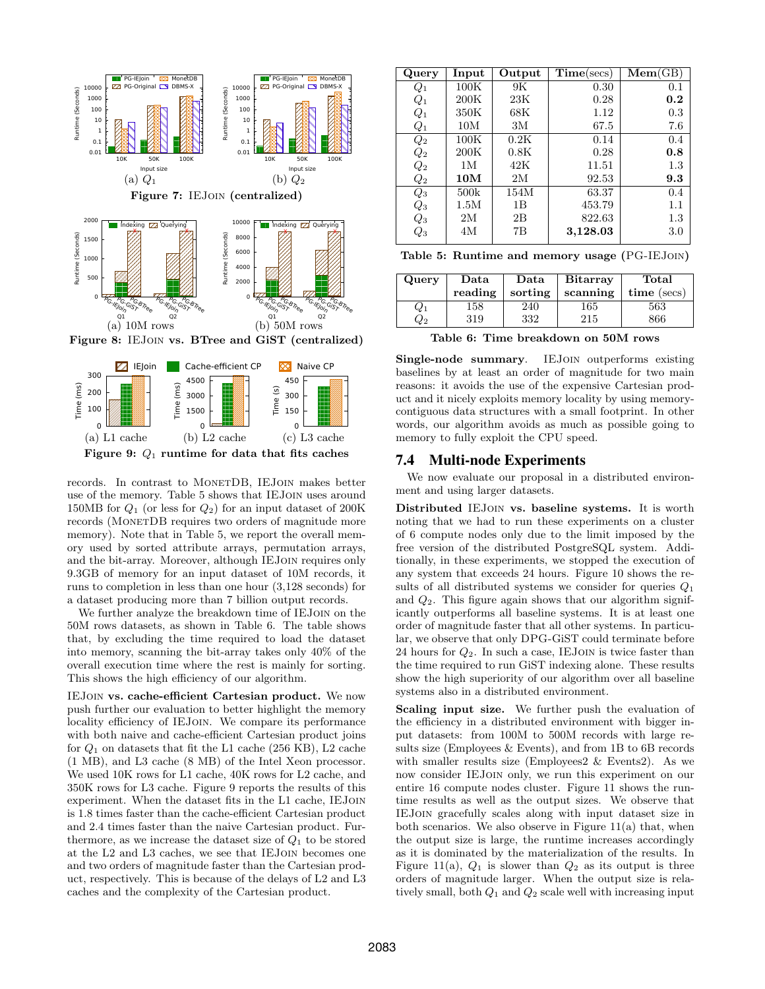



records. In contrast to MONETDB, IEJOIN makes better use of the memory. Table 5 shows that IEJoin uses around 150MB for  $Q_1$  (or less for  $Q_2$ ) for an input dataset of 200K records (MONETDB requires two orders of magnitude more memory). Note that in Table 5, we report the overall memory used by sorted attribute arrays, permutation arrays, and the bit-array. Moreover, although IEJoin requires only 9.3GB of memory for an input dataset of 10M records, it runs to completion in less than one hour (3,128 seconds) for a dataset producing more than 7 billion output records.

We further analyze the breakdown time of IEJoin on the 50M rows datasets, as shown in Table 6. The table shows that, by excluding the time required to load the dataset into memory, scanning the bit-array takes only 40% of the overall execution time where the rest is mainly for sorting. This shows the high efficiency of our algorithm.

IEJoin vs. cache-efficient Cartesian product. We now push further our evaluation to better highlight the memory locality efficiency of IEJOIN. We compare its performance with both naive and cache-efficient Cartesian product joins for  $Q_1$  on datasets that fit the L1 cache (256 KB), L2 cache (1 MB), and L3 cache (8 MB) of the Intel Xeon processor. We used 10K rows for L1 cache, 40K rows for L2 cache, and 350K rows for L3 cache. Figure 9 reports the results of this experiment. When the dataset fits in the L1 cache, IEJoin is 1.8 times faster than the cache-efficient Cartesian product and 2.4 times faster than the naive Cartesian product. Furthermore, as we increase the dataset size of  $Q_1$  to be stored at the L2 and L3 caches, we see that IEJoin becomes one and two orders of magnitude faster than the Cartesian product, respectively. This is because of the delays of L2 and L3 caches and the complexity of the Cartesian product.

| Query               | Input | Output | Time(secs) | Mem(GB) |
|---------------------|-------|--------|------------|---------|
| $\,Q_1$             | 100K  | 9K     | 0.30       | 0.1     |
| $Q_1$               | 200K  | 23K    | 0.28       | 0.2     |
| $Q_1$               | 350K  | 68K    | 1.12       | 0.3     |
| $\,_{1}$            | 10M   | 3M     | 67.5       | 7.6     |
| $\scriptstyle{Q_2}$ | 100K  | 0.2K   | 0.14       | 0.4     |
| $\mathbb{Q}_2$      | 200K  | 0.8K   | 0.28       | 0.8     |
| $\scriptstyle Q_2$  | 1 M   | 42K    | 11.51      | 1.3     |
| $\scriptstyle Q_2$  | 10M   | 2M     | 92.53      | 9.3     |
| $Q_3$               | 500k  | 154M   | 63.37      | 0.4     |
| $\mathbb{Q}_3$      | 1.5M  | 1B     | 453.79     | 1.1     |
| $\scriptstyle Q_3$  | 2M    | 2B     | 822.63     | 1.3     |
| $\scriptstyle Q_3$  | 4М    | 7B     | 3,128.03   | 3.0     |

|  | Table 5: Runtime and memory usage (PG-IEJOIN) |  |  |  |
|--|-----------------------------------------------|--|--|--|
|--|-----------------------------------------------|--|--|--|

| Query   | Data<br>reading | Data<br>sorting | <b>Bitarray</b><br>scanning | Total<br>$time$ (secs) |
|---------|-----------------|-----------------|-----------------------------|------------------------|
| $Q_1$   | 158             | 240             | 165                         | 563                    |
| $2^{2}$ | 319             | 332             | 215                         | 866                    |

Table 6: Time breakdown on 50M rows

Single-node summary. IEJoin outperforms existing baselines by at least an order of magnitude for two main reasons: it avoids the use of the expensive Cartesian product and it nicely exploits memory locality by using memorycontiguous data structures with a small footprint. In other words, our algorithm avoids as much as possible going to memory to fully exploit the CPU speed.

## 7.4 Multi-node Experiments

We now evaluate our proposal in a distributed environment and using larger datasets.

Distributed IEJoin vs. baseline systems. It is worth noting that we had to run these experiments on a cluster of 6 compute nodes only due to the limit imposed by the free version of the distributed PostgreSQL system. Additionally, in these experiments, we stopped the execution of any system that exceeds 24 hours. Figure 10 shows the results of all distributed systems we consider for queries  $Q_1$ and  $Q_2$ . This figure again shows that our algorithm significantly outperforms all baseline systems. It is at least one order of magnitude faster that all other systems. In particular, we observe that only DPG-GiST could terminate before 24 hours for  $Q_2$ . In such a case, IEJOIN is twice faster than the time required to run GiST indexing alone. These results show the high superiority of our algorithm over all baseline systems also in a distributed environment.

Scaling input size. We further push the evaluation of the efficiency in a distributed environment with bigger input datasets: from 100M to 500M records with large results size (Employees & Events), and from 1B to 6B records with smaller results size (Employees2  $\&$  Events2). As we now consider IEJoin only, we run this experiment on our entire 16 compute nodes cluster. Figure 11 shows the runtime results as well as the output sizes. We observe that IEJoin gracefully scales along with input dataset size in both scenarios. We also observe in Figure  $11(a)$  that, when the output size is large, the runtime increases accordingly as it is dominated by the materialization of the results. In Figure 11(a),  $Q_1$  is slower than  $Q_2$  as its output is three orders of magnitude larger. When the output size is relatively small, both  $Q_1$  and  $Q_2$  scale well with increasing input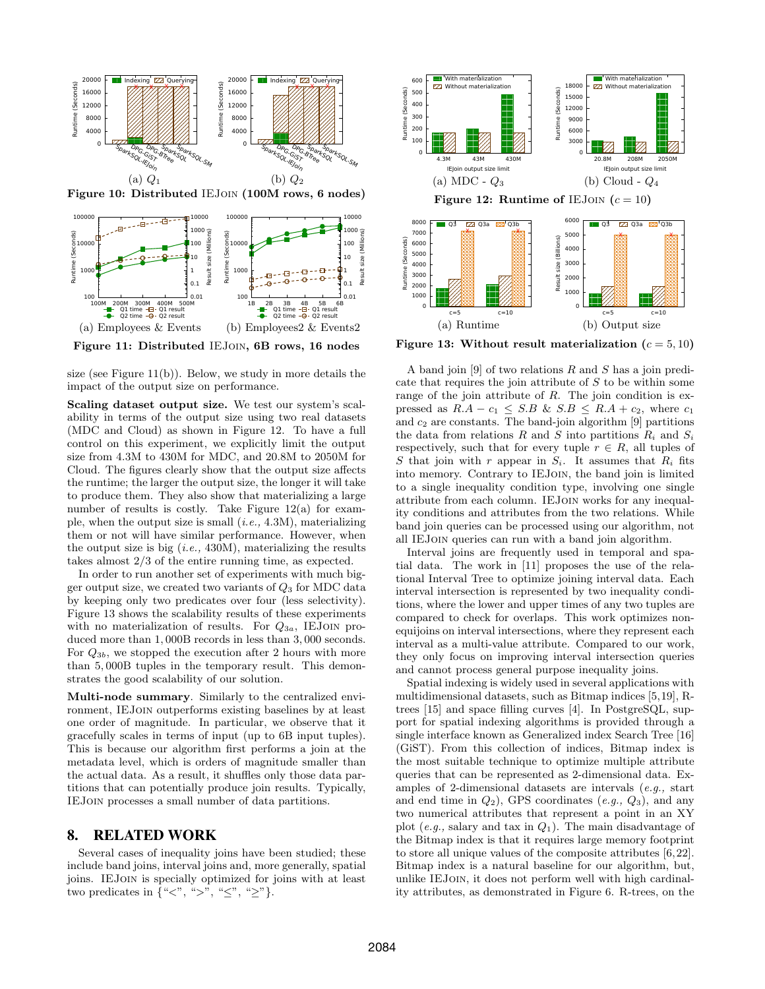

Figure 10: Distributed IEJoin (100M rows, 6 nodes)



Figure 11: Distributed IEJoin, 6B rows, 16 nodes

size (see Figure 11(b)). Below, we study in more details the impact of the output size on performance.

Scaling dataset output size. We test our system's scalability in terms of the output size using two real datasets (MDC and Cloud) as shown in Figure 12. To have a full control on this experiment, we explicitly limit the output size from 4.3M to 430M for MDC, and 20.8M to 2050M for Cloud. The figures clearly show that the output size affects the runtime; the larger the output size, the longer it will take to produce them. They also show that materializing a large number of results is costly. Take Figure 12(a) for example, when the output size is small  $(i.e., 4.3M)$ , materializing them or not will have similar performance. However, when the output size is big  $(i.e., 430M)$ , materializing the results takes almost 2/3 of the entire running time, as expected.

In order to run another set of experiments with much bigger output size, we created two variants of  $Q_3$  for MDC data by keeping only two predicates over four (less selectivity). Figure 13 shows the scalability results of these experiments with no materialization of results. For  $Q_{3a}$ , IEJOIN produced more than 1, 000B records in less than 3, 000 seconds. For Q3b, we stopped the execution after 2 hours with more than 5, 000B tuples in the temporary result. This demonstrates the good scalability of our solution.

Multi-node summary. Similarly to the centralized environment, IEJoin outperforms existing baselines by at least one order of magnitude. In particular, we observe that it gracefully scales in terms of input (up to 6B input tuples). This is because our algorithm first performs a join at the metadata level, which is orders of magnitude smaller than the actual data. As a result, it shuffles only those data partitions that can potentially produce join results. Typically, IEJoin processes a small number of data partitions.

#### 8. RELATED WORK

Several cases of inequality joins have been studied; these include band joins, interval joins and, more generally, spatial joins. IEJoin is specially optimized for joins with at least two predicates in  $\{``<", ``>", ``\le", ``\ge"\}.$ 



Figure 13: Without result materialization ( $c = 5, 10$ )

A band join [9] of two relations R and S has a join predicate that requires the join attribute of S to be within some range of the join attribute of  $R$ . The join condition is expressed as  $R.A - c_1 \leq S.B \& S.B \leq R.A + c_2$ , where  $c_1$ and  $c_2$  are constants. The band-join algorithm [9] partitions the data from relations R and S into partitions  $R_i$  and  $S_i$ respectively, such that for every tuple  $r \in R$ , all tuples of S that join with r appear in  $S_i$ . It assumes that  $R_i$  fits into memory. Contrary to IEJoin, the band join is limited to a single inequality condition type, involving one single attribute from each column. IEJoin works for any inequality conditions and attributes from the two relations. While band join queries can be processed using our algorithm, not all IEJoin queries can run with a band join algorithm.

Interval joins are frequently used in temporal and spatial data. The work in [11] proposes the use of the relational Interval Tree to optimize joining interval data. Each interval intersection is represented by two inequality conditions, where the lower and upper times of any two tuples are compared to check for overlaps. This work optimizes nonequijoins on interval intersections, where they represent each interval as a multi-value attribute. Compared to our work, they only focus on improving interval intersection queries and cannot process general purpose inequality joins.

Spatial indexing is widely used in several applications with multidimensional datasets, such as Bitmap indices [5,19], Rtrees [15] and space filling curves [4]. In PostgreSQL, support for spatial indexing algorithms is provided through a single interface known as Generalized index Search Tree [16] (GiST). From this collection of indices, Bitmap index is the most suitable technique to optimize multiple attribute queries that can be represented as 2-dimensional data. Examples of 2-dimensional datasets are intervals (e.g., start and end time in  $Q_2$ ), GPS coordinates  $(e.g., Q_3)$ , and any two numerical attributes that represent a point in an XY plot  $(e.g.,$  salary and tax in  $Q_1$ ). The main disadvantage of the Bitmap index is that it requires large memory footprint to store all unique values of the composite attributes [6, 22]. Bitmap index is a natural baseline for our algorithm, but, unlike IEJoin, it does not perform well with high cardinality attributes, as demonstrated in Figure 6. R-trees, on the